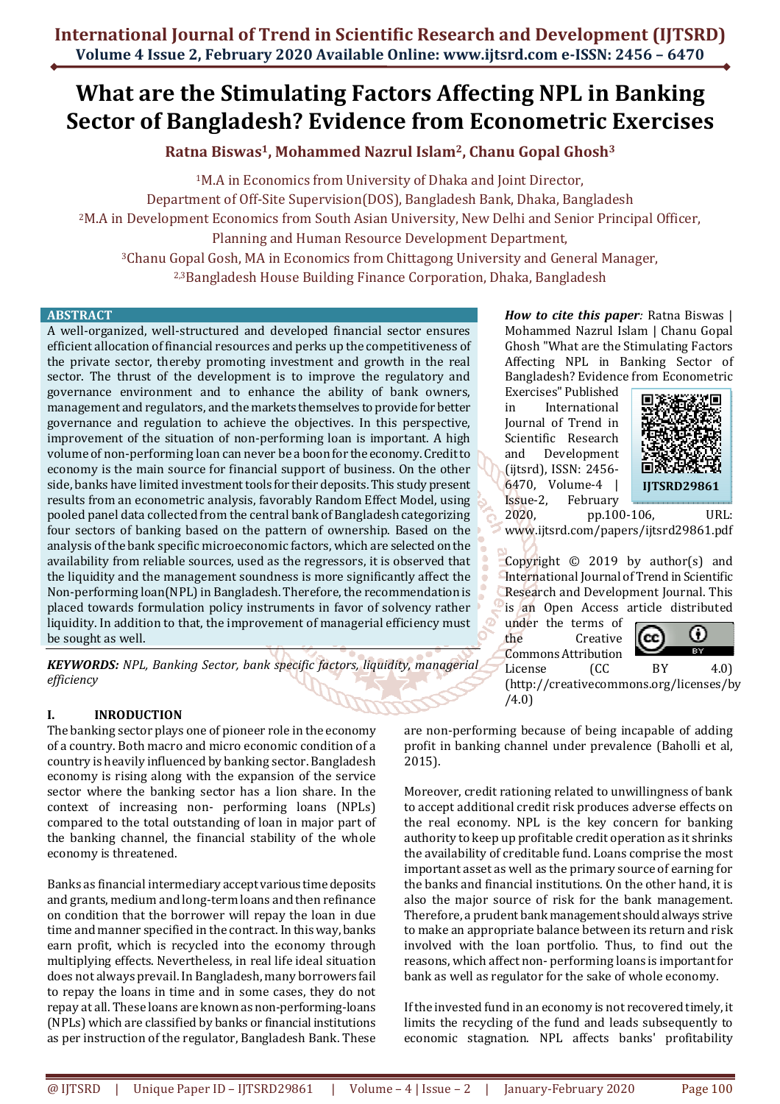# **What are the Stimulating Factors Affecting NPL in Banking Sector of Bangladesh? Evidence from Econometric Exercises**

**Ratna Biswas1, Mohammed Nazrul Islam2, Chanu Gopal Ghosh<sup>3</sup>**

<sup>1</sup>M.A in Economics from University of Dhaka and Joint Director, Department of Off-Site Supervision(DOS), Bangladesh Bank, Dhaka, Bangladesh <sup>2</sup>M.A in Development Economics from South Asian University, New Delhi and Senior Principal Officer, Planning and Human Resource Development Department,

<sup>3</sup>Chanu Gopal Gosh, MA in Economics from Chittagong University and General Manager, 2,3Bangladesh House Building Finance Corporation, Dhaka, Bangladesh

#### **ABSTRACT**

A well-organized, well-structured and developed financial sector ensures efficient allocation of financial resources and perks up the competitiveness of the private sector, thereby promoting investment and growth in the real sector. The thrust of the development is to improve the regulatory and governance environment and to enhance the ability of bank owners, management and regulators, and the markets themselves to provide for better governance and regulation to achieve the objectives. In this perspective, improvement of the situation of non-performing loan is important. A high volume of non-performing loan can never be a boon for the economy. Credit to economy is the main source for financial support of business. On the other side, banks have limited investment tools for their deposits. This study present results from an econometric analysis, favorably Random Effect Model, using pooled panel data collected from the central bank of Bangladesh categorizing four sectors of banking based on the pattern of ownership. Based on the analysis of the bank specific microeconomic factors, which are selected on the availability from reliable sources, used as the regressors, it is observed that the liquidity and the management soundness is more significantly affect the Non-performing loan(NPL) in Bangladesh. Therefore, the recommendation is placed towards formulation policy instruments in favor of solvency rather liquidity. In addition to that, the improvement of managerial efficiency must be sought as well.

*KEYWORDS: NPL, Banking Sector, bank specific factors, liquidity, managerial efficiency* 

## **I. INRODUCTION**

The banking sector plays one of pioneer role in the economy of a country. Both macro and micro economic condition of a country is heavily influenced by banking sector. Bangladesh economy is rising along with the expansion of the service sector where the banking sector has a lion share. In the context of increasing non- performing loans (NPLs) compared to the total outstanding of loan in major part of the banking channel, the financial stability of the whole economy is threatened.

Banks as financial intermediary accept various time deposits and grants, medium and long-term loans and then refinance on condition that the borrower will repay the loan in due time and manner specified in the contract. In this way, banks earn profit, which is recycled into the economy through multiplying effects. Nevertheless, in real life ideal situation does not always prevail. In Bangladesh, many borrowers fail to repay the loans in time and in some cases, they do not repay at all. These loans are known as non-performing-loans (NPLs) which are classified by banks or financial institutions as per instruction of the regulator, Bangladesh Bank. These

*How to cite this paper:* Ratna Biswas | Mohammed Nazrul Islam | Chanu Gopal Ghosh "What are the Stimulating Factors Affecting NPL in Banking Sector of Bangladesh? Evidence from Econometric

Exercises" Published in International Journal of Trend in Scientific Research and Development (ijtsrd), ISSN: 2456- 6470, Volume-4 | Issue-2, February 2020, pp.100-106, URL:



www.ijtsrd.com/papers/ijtsrd29861.pdf

Copyright  $\odot$  2019 by author(s) and International Journal of Trend in Scientific Research and Development Journal. This is an Open Access article distributed

under the terms of the Creative Commons Attribution



License (CC BY 4.0) (http://creativecommons.org/licenses/by /4.0)

are non-performing because of being incapable of adding profit in banking channel under prevalence (Baholli et al, 2015).

Moreover, credit rationing related to unwillingness of bank to accept additional credit risk produces adverse effects on the real economy. NPL is the key concern for banking authority to keep up profitable credit operation as it shrinks the availability of creditable fund. Loans comprise the most important asset as well as the primary source of earning for the banks and financial institutions. On the other hand, it is also the major source of risk for the bank management. Therefore, a prudent bank management should always strive to make an appropriate balance between its return and risk involved with the loan portfolio. Thus, to find out the reasons, which affect non- performing loans is important for bank as well as regulator for the sake of whole economy.

If the invested fund in an economy is not recovered timely, it limits the recycling of the fund and leads subsequently to economic stagnation. NPL affects banks' profitability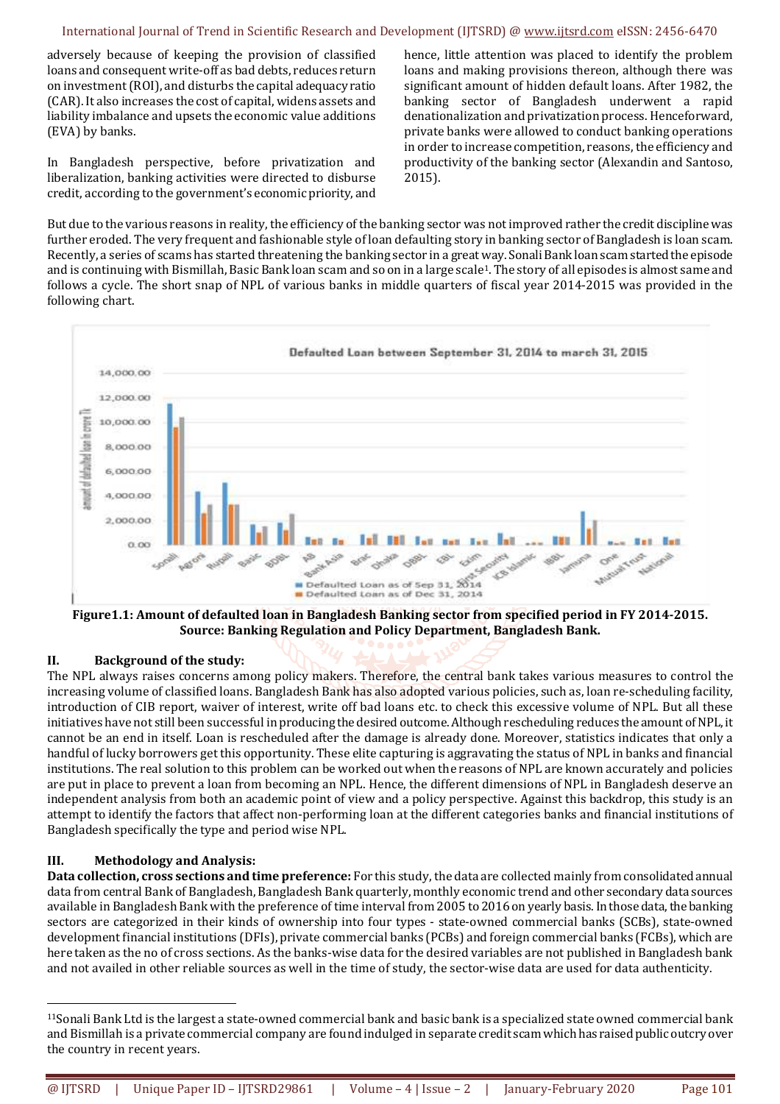adversely because of keeping the provision of classified loans and consequent write-off as bad debts, reduces return on investment (ROI), and disturbs the capital adequacy ratio (CAR). It also increases the cost of capital, widens assets and liability imbalance and upsets the economic value additions (EVA) by banks.

In Bangladesh perspective, before privatization and liberalization, banking activities were directed to disburse credit, according to the government's economic priority, and

hence, little attention was placed to identify the problem loans and making provisions thereon, although there was significant amount of hidden default loans. After 1982, the banking sector of Bangladesh underwent a rapid denationalization and privatization process. Henceforward, private banks were allowed to conduct banking operations in order to increase competition, reasons, the efficiency and productivity of the banking sector (Alexandin and Santoso, 2015).

But due to the various reasons in reality, the efficiency of the banking sector was not improved rather the credit discipline was further eroded. The very frequent and fashionable style of loan defaulting story in banking sector of Bangladesh is loan scam. Recently, a series of scams has started threatening the banking sector in a great way. Sonali Bank loan scam started the episode and is continuing with Bismillah, Basic Bank loan scam and so on in a large scale1. The story of all episodes is almost same and follows a cycle. The short snap of NPL of various banks in middle quarters of fiscal year 2014-2015 was provided in the following chart.



**Figure1.1: Amount of defaulted loan in Bangladesh Banking sector from specified period in FY 2014-2015. Source: Banking Regulation and Policy Department, Bangladesh Bank.** 

## **II. Background of the study:**

The NPL always raises concerns among policy makers. Therefore, the central bank takes various measures to control the increasing volume of classified loans. Bangladesh Bank has also adopted various policies, such as, loan re-scheduling facility, introduction of CIB report, waiver of interest, write off bad loans etc. to check this excessive volume of NPL. But all these initiatives have not still been successful in producing the desired outcome. Although rescheduling reduces the amount of NPL, it cannot be an end in itself. Loan is rescheduled after the damage is already done. Moreover, statistics indicates that only a handful of lucky borrowers get this opportunity. These elite capturing is aggravating the status of NPL in banks and financial institutions. The real solution to this problem can be worked out when the reasons of NPL are known accurately and policies are put in place to prevent a loan from becoming an NPL. Hence, the different dimensions of NPL in Bangladesh deserve an independent analysis from both an academic point of view and a policy perspective. Against this backdrop, this study is an attempt to identify the factors that affect non-performing loan at the different categories banks and financial institutions of Bangladesh specifically the type and period wise NPL.

## **III. Methodology and Analysis:**

l

**Data collection, cross sections and time preference:** For this study, the data are collected mainly from consolidated annual data from central Bank of Bangladesh, Bangladesh Bank quarterly, monthly economic trend and other secondary data sources available in Bangladesh Bank with the preference of time interval from 2005 to 2016 on yearly basis. In those data, the banking sectors are categorized in their kinds of ownership into four types - state-owned commercial banks (SCBs), state-owned development financial institutions (DFIs), private commercial banks (PCBs) and foreign commercial banks (FCBs), which are here taken as the no of cross sections. As the banks-wise data for the desired variables are not published in Bangladesh bank and not availed in other reliable sources as well in the time of study, the sector-wise data are used for data authenticity.

 $11$ Sonali Bank Ltd is the largest a state-owned commercial bank and basic bank is a specialized state owned commercial bank and Bismillah is a private commercial company are found indulged in separate credit scam which has raised public outcry over the country in recent years.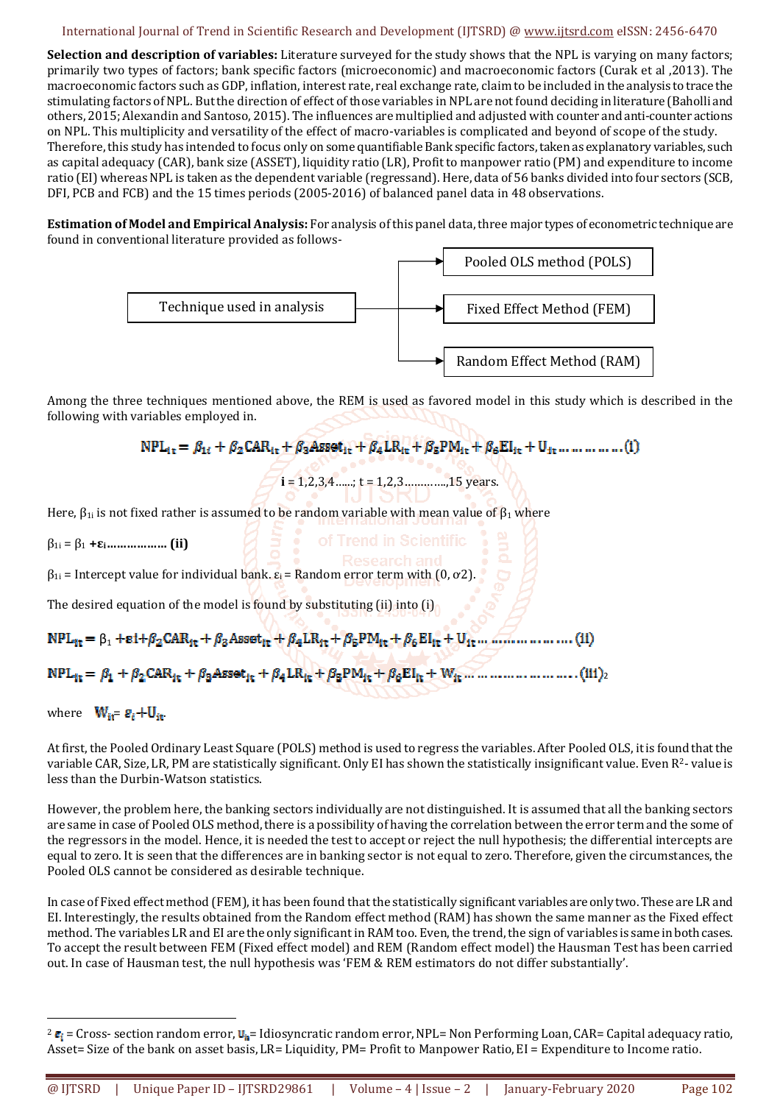**Selection and description of variables:** Literature surveyed for the study shows that the NPL is varying on many factors; primarily two types of factors; bank specific factors (microeconomic) and macroeconomic factors (Curak et al ,2013). The macroeconomic factors such as GDP, inflation, interest rate, real exchange rate, claim to be included in the analysis to trace the stimulating factors of NPL. But the direction of effect of those variables in NPL are not found deciding in literature (Baholli and others, 2015; Alexandin and Santoso, 2015). The influences are multiplied and adjusted with counter and anti-counter actions on NPL. This multiplicity and versatility of the effect of macro-variables is complicated and beyond of scope of the study. Therefore, this study has intended to focus only on some quantifiable Bank specific factors, taken as explanatory variables, such as capital adequacy (CAR), bank size (ASSET), liquidity ratio (LR), Profit to manpower ratio (PM) and expenditure to income ratio (EI) whereas NPL is taken as the dependent variable (regressand). Here, data of 56 banks divided into four sectors (SCB, DFI, PCB and FCB) and the 15 times periods (2005-2016) of balanced panel data in 48 observations.

**Estimation of Model and Empirical Analysis:** For analysis of this panel data, three major types of econometric technique are found in conventional literature provided as follows-



Among the three techniques mentioned above, the REM is used as favored model in this study which is described in the following with variables employed in.

```
NPL_{it} = \beta_{1i} + \beta_2 CAR_{it} + \beta_3 Asset_{it} + \beta_4 LR_{it} + \beta_5 PM_{it} + \beta_6 EI_{it} + U_{it} ... ... ... ... (1)
```
 $i = 1, 2, 3, 4, \dots$ ;  $t = 1, 2, 3, \dots, 15$  years.

Here,  $\beta_{1i}$  is not fixed rather is assumed to be random variable with mean value of  $\beta_1$  where

β1i = β1 **+εi……………… (ii)**

 $\beta_{1i}$  = Intercept value for individual bank.  $\varepsilon_i$  = Random error term with (0,  $\sigma$ 2).

The desired equation of the model is found by substituting (ii) into (i)

 $NPL_{it} = \beta_1 + \varepsilon i + \beta_2 CAR_{it} + \beta_3 Asset_{it} + \beta_4 LR_{it} + \beta_5 PM_{it} + \beta_6 EI_{it} + U_{it} ...$  (ii) 2

## where  $W_{ii} = g_i + U_{ii}$ .

l

At first, the Pooled Ordinary Least Square (POLS) method is used to regress the variables. After Pooled OLS, it is found that the variable CAR, Size, LR, PM are statistically significant. Only EI has shown the statistically insignificant value. Even R2- value is less than the Durbin-Watson statistics.

However, the problem here, the banking sectors individually are not distinguished. It is assumed that all the banking sectors are same in case of Pooled OLS method, there is a possibility of having the correlation between the error term and the some of the regressors in the model. Hence, it is needed the test to accept or reject the null hypothesis; the differential intercepts are equal to zero. It is seen that the differences are in banking sector is not equal to zero. Therefore, given the circumstances, the Pooled OLS cannot be considered as desirable technique.

In case of Fixed effect method (FEM), it has been found that the statistically significant variables are only two. These are LR and EI. Interestingly, the results obtained from the Random effect method (RAM) has shown the same manner as the Fixed effect method. The variables LR and EI are the only significant in RAM too. Even, the trend, the sign of variables is same in both cases. To accept the result between FEM (Fixed effect model) and REM (Random effect model) the Hausman Test has been carried out. In case of Hausman test, the null hypothesis was 'FEM & REM estimators do not differ substantially'.

 $2 \epsilon_i$  = Cross- section random error,  $\mathbf{u}_{\hat{\mathbf{n}}}$  = Idiosyncratic random error, NPL= Non Performing Loan, CAR= Capital adequacy ratio, Asset= Size of the bank on asset basis, LR= Liquidity, PM= Profit to Manpower Ratio, EI = Expenditure to Income ratio.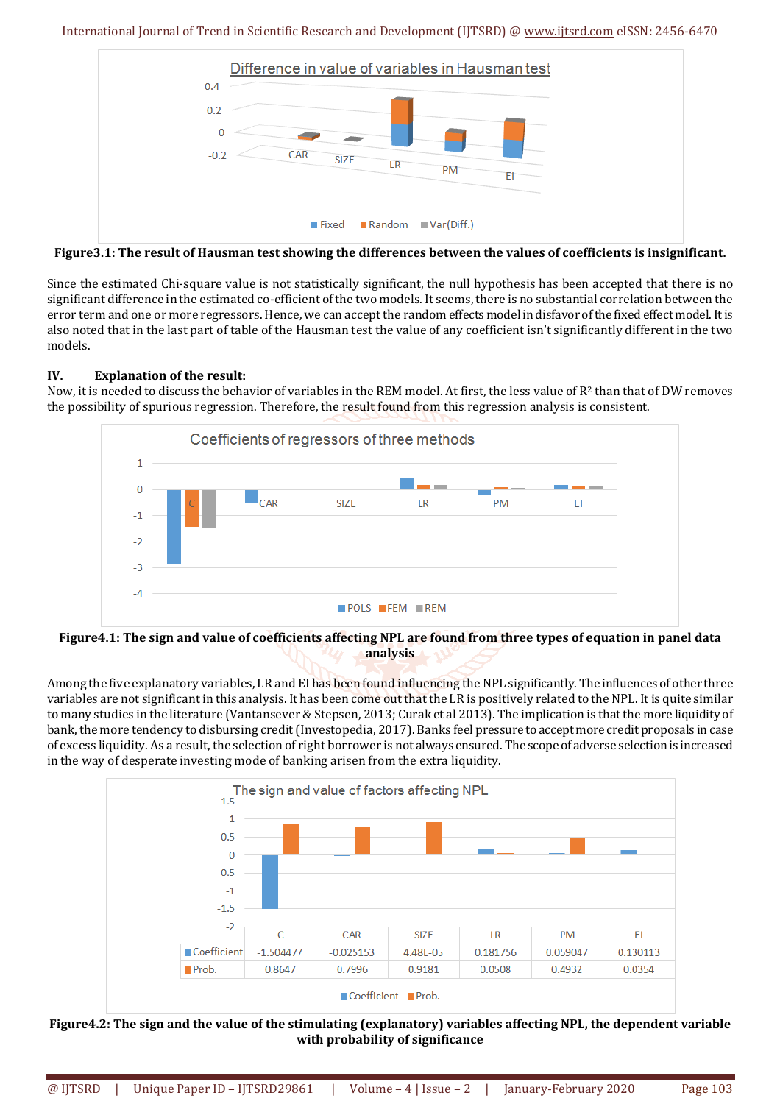

**Figure3.1: The result of Hausman test showing the differences between the values of coefficients is insignificant.** 

Since the estimated Chi-square value is not statistically significant, the null hypothesis has been accepted that there is no significant difference in the estimated co-efficient of the two models. It seems, there is no substantial correlation between the error term and one or more regressors. Hence, we can accept the random effects model in disfavor of the fixed effect model. It is also noted that in the last part of table of the Hausman test the value of any coefficient isn't significantly different in the two models.

## **IV. Explanation of the result:**

Now, it is needed to discuss the behavior of variables in the REM model. At first, the less value of R<sup>2</sup> than that of DW removes the possibility of spurious regression. Therefore, the result found from this regression analysis is consistent.



#### **Figure4.1: The sign and value of coefficients affecting NPL are found from three types of equation in panel data analysis**

Among the five explanatory variables, LR and EI has been found influencing the NPL significantly. The influences of other three variables are not significant in this analysis. It has been come out that the LR is positively related to the NPL. It is quite similar to many studies in the literature (Vantansever & Stepsen, 2013; Curak et al 2013). The implication is that the more liquidity of bank, the more tendency to disbursing credit (Investopedia, 2017). Banks feel pressure to accept more credit proposals in case of excess liquidity. As a result, the selection of right borrower is not always ensured. The scope of adverse selection is increased in the way of desperate investing mode of banking arisen from the extra liquidity.



**Figure4.2: The sign and the value of the stimulating (explanatory) variables affecting NPL, the dependent variable with probability of significance**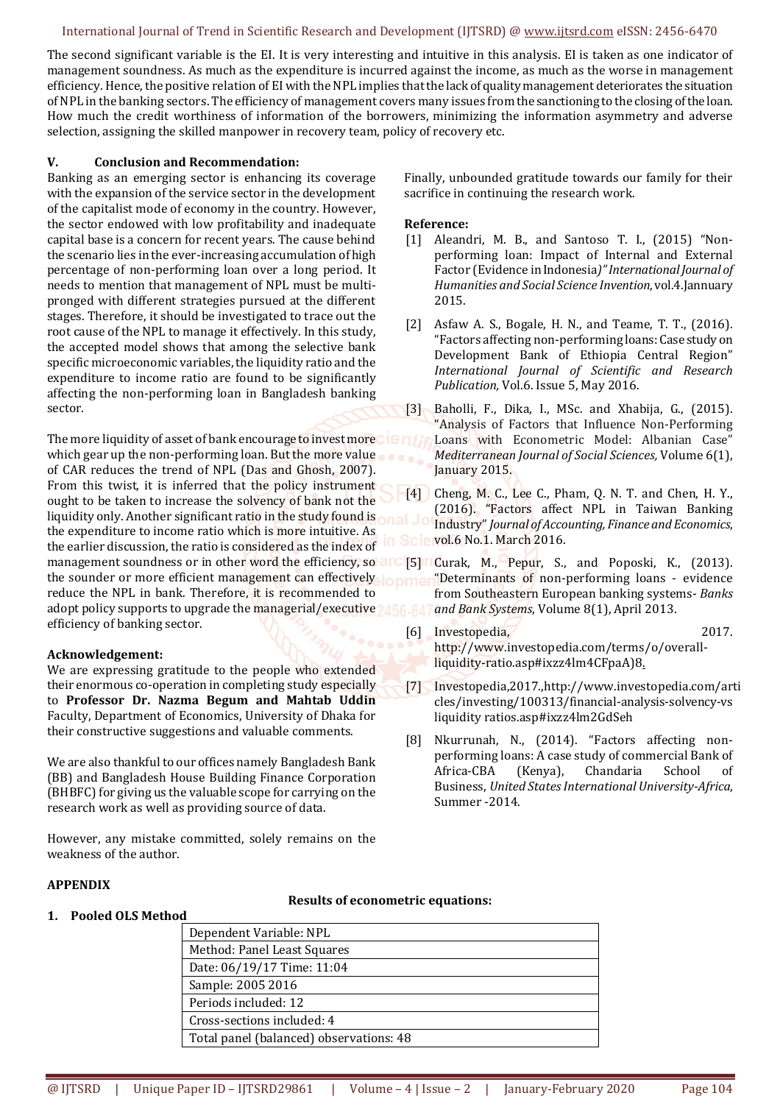The second significant variable is the EI. It is very interesting and intuitive in this analysis. EI is taken as one indicator of management soundness. As much as the expenditure is incurred against the income, as much as the worse in management efficiency. Hence, the positive relation of EI with the NPL implies that the lack of quality management deteriorates the situation of NPL in the banking sectors. The efficiency of management covers many issues from the sanctioning to the closing of the loan. How much the credit worthiness of information of the borrowers, minimizing the information asymmetry and adverse selection, assigning the skilled manpower in recovery team, policy of recovery etc.

#### **V. Conclusion and Recommendation:**

Banking as an emerging sector is enhancing its coverage with the expansion of the service sector in the development of the capitalist mode of economy in the country. However, the sector endowed with low profitability and inadequate capital base is a concern for recent years. The cause behind the scenario lies in the ever-increasing accumulation of high percentage of non-performing loan over a long period. It needs to mention that management of NPL must be multipronged with different strategies pursued at the different stages. Therefore, it should be investigated to trace out the root cause of the NPL to manage it effectively. In this study, the accepted model shows that among the selective bank specific microeconomic variables, the liquidity ratio and the expenditure to income ratio are found to be significantly affecting the non-performing loan in Bangladesh banking sector.

The more liquidity of asset of bank encourage to invest more  $\Box$  E in the which gear up the non-performing loan. But the more value of CAR reduces the trend of NPL (Das and Ghosh, 2007). From this twist, it is inferred that the policy instrument ought to be taken to increase the solvency of bank not the liquidity only. Another significant ratio in the study found is the expenditure to income ratio which is more intuitive. As the earlier discussion, the ratio is considered as the index of management soundness or in other word the efficiency, so arc [5] Curak, M., Pepur, S., and Poposki, K., (2013). the sounder or more efficient management can effectively lopmer reduce the NPL in bank. Therefore, it is recommended to adopt policy supports to upgrade the managerial/executive 2456-64 efficiency of banking sector.

#### **Acknowledgement:**

We are expressing gratitude to the people who extended their enormous co-operation in completing study especially to **Professor Dr. Nazma Begum and Mahtab Uddin**  Faculty, Department of Economics, University of Dhaka for their constructive suggestions and valuable comments.

We are also thankful to our offices namely Bangladesh Bank (BB) and Bangladesh House Building Finance Corporation (BHBFC) for giving us the valuable scope for carrying on the research work as well as providing source of data.

However, any mistake committed, solely remains on the weakness of the author.

#### Finally, unbounded gratitude towards our family for their sacrifice in continuing the research work.

#### **Reference:**

- [1] Aleandri, M. B., and Santoso T. I., (2015) "Nonperforming loan: Impact of Internal and External Factor (Evidence in Indonesia*)" International Journal of Humanities and Social Science Invention*, vol.4.Jannuary 2015.
- [2] Asfaw A. S., Bogale, H. N., and Teame, T. T., (2016). "Factors affecting non-performing loans: Case study on Development Bank of Ethiopia Central Region" *International Journal of Scientific and Research Publication,* Vol.6. Issue 5, May 2016.
- [3] Baholli, F., Dika, I., MSc. and Xhabija, G., (2015). "Analysis of Factors that Influence Non-Performing Loans with Econometric Model: Albanian Case" *Mediterranean Journal of Social Sciences,* Volume 6(1), January 2015.
- [4] Cheng, M. C., Lee C., Pham, Q. N. T. and Chen, H. Y., (2016). "Factors affect NPL in Taiwan Banking Industry" *Journal of Accounting, Finance and Economics*, **e** vol.6 No.1. March 2016.

"Determinants of non-performing loans - evidence from Southeastern European banking systems- *Banks and Bank Systems*, Volume 8(1), April 2013.

- [6] Investopedia, 2017. http://www.investopedia.com/terms/o/overallliquidity-ratio.asp#ixzz4lm4CFpaA)8.
- [7] Investopedia,2017.,http://www.investopedia.com/arti cles/investing/100313/financial-analysis-solvency-vs liquidity ratios.asp#ixzz4lm2GdSeh
- [8] Nkurrunah, N., (2014). "Factors affecting nonperforming loans: A case study of commercial Bank of Africa-CBA (Kenya), Chandaria School of Business, *United States International University-Africa*, Summer -2014.

## **APPENDIX**

#### **Results of econometric equations:**

| 1. Pooled OLS Method |       |
|----------------------|-------|
|                      | Dener |

| Total panel (balanced) observations: 48 |  |  |
|-----------------------------------------|--|--|
|                                         |  |  |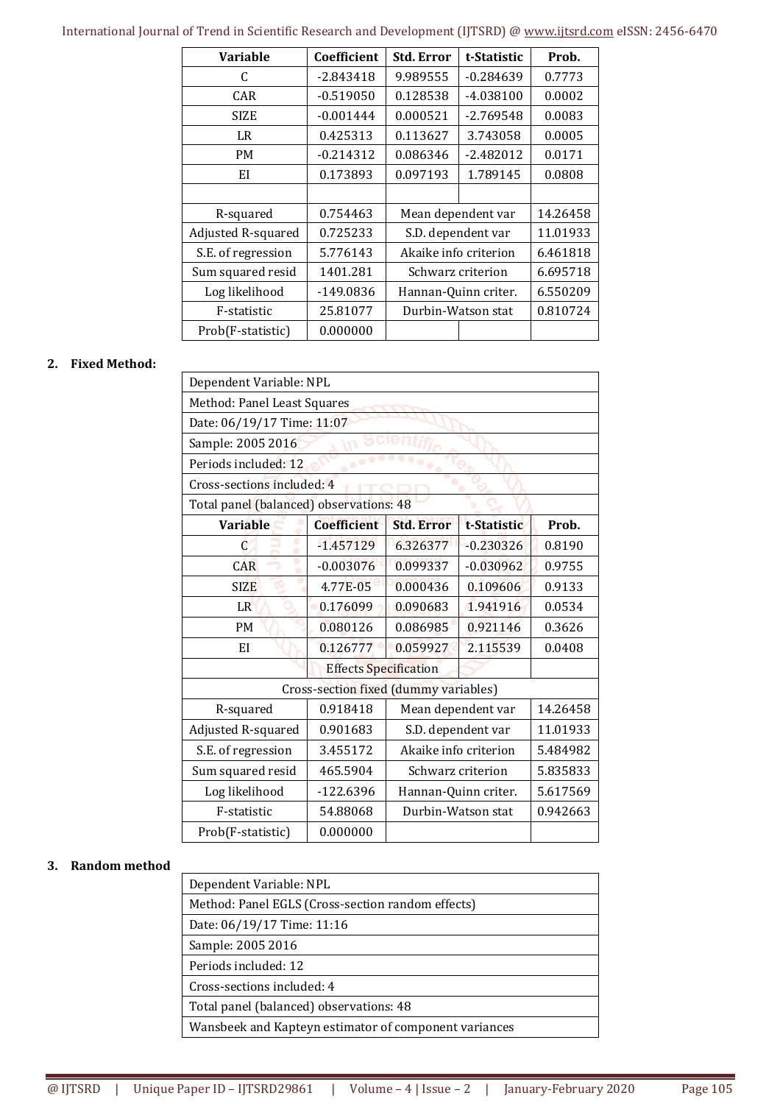| Variable           | Coefficient | <b>Std. Error</b>     | t-Statistic | Prob.    |
|--------------------|-------------|-----------------------|-------------|----------|
| C                  | $-2.843418$ | 9.989555              | $-0.284639$ | 0.7773   |
| CAR                | $-0.519050$ | 0.128538              | $-4.038100$ | 0.0002   |
| SIZE               | $-0.001444$ | 0.000521              | $-2.769548$ | 0.0083   |
| LR                 | 0.425313    | 0.113627              | 3.743058    | 0.0005   |
| PM                 | $-0.214312$ | 0.086346              | $-2.482012$ | 0.0171   |
| EI                 | 0.173893    | 0.097193              | 1.789145    | 0.0808   |
|                    |             |                       |             |          |
| R-squared          | 0.754463    | Mean dependent var    |             | 14.26458 |
| Adjusted R-squared | 0.725233    | S.D. dependent var    |             | 11.01933 |
| S.E. of regression | 5.776143    | Akaike info criterion |             | 6.461818 |
| Sum squared resid  | 1401.281    | Schwarz criterion     |             | 6.695718 |
| Log likelihood     | $-149.0836$ | Hannan-Quinn criter.  |             | 6.550209 |
| F-statistic        | 25.81077    | Durbin-Watson stat    |             | 0.810724 |
| Prob(F-statistic)  | 0.000000    |                       |             |          |

#### **2. Fixed Method:**

| Dependent Variable: NPL                 |                    |                       |             |          |  |
|-----------------------------------------|--------------------|-----------------------|-------------|----------|--|
| Method: Panel Least Squares             |                    |                       |             |          |  |
| Date: 06/19/17 Time: 11:07              |                    |                       |             |          |  |
| Sample: 2005 2016                       |                    |                       |             |          |  |
| Periods included: 12                    |                    |                       |             |          |  |
| Cross-sections included: 4              |                    |                       |             |          |  |
| Total panel (balanced) observations: 48 |                    |                       |             |          |  |
| <b>Variable</b>                         | <b>Coefficient</b> | <b>Std. Error</b>     | t-Statistic | Prob.    |  |
| C                                       | $-1.457129$        | 6.326377              | $-0.230326$ | 0.8190   |  |
| Φ<br>CAR                                | $-0.003076$        | 0.099337              | $-0.030962$ | 0.9755   |  |
| <b>SIZE</b>                             | 4.77E-05           | 0.000436              | 0.109606    | 0.9133   |  |
| LR                                      | 0.176099           | 0.090683              | 1.941916    | 0.0534   |  |
| <b>PM</b>                               | 0.080126           | 0.086985              | 0.921146    | 0.3626   |  |
| EI                                      | 0.126777           | 0.059927              | 2.115539    | 0.0408   |  |
| <b>Effects Specification</b>            |                    |                       |             |          |  |
| Cross-section fixed (dummy variables)   |                    |                       |             |          |  |
| R-squared                               | 0.918418           | Mean dependent var    |             | 14.26458 |  |
| Adjusted R-squared                      | 0.901683           | S.D. dependent var    |             | 11.01933 |  |
| S.E. of regression                      | 3.455172           | Akaike info criterion |             | 5.484982 |  |
| Sum squared resid                       | 465.5904           | Schwarz criterion     |             | 5.835833 |  |
| Log likelihood                          | $-122.6396$        | Hannan-Quinn criter.  |             | 5.617569 |  |
| F-statistic                             | 54.88068           | Durbin-Watson stat    |             | 0.942663 |  |
| Prob(F-statistic)                       | 0.000000           |                       |             |          |  |

#### **3. Random method**

| Dependent Variable: NPL                               |
|-------------------------------------------------------|
| Method: Panel EGLS (Cross-section random effects)     |
| Date: 06/19/17 Time: 11:16                            |
| Sample: 2005 2016                                     |
| Periods included: 12                                  |
| Cross-sections included: 4                            |
| Total panel (balanced) observations: 48               |
| Wansbeek and Kapteyn estimator of component variances |